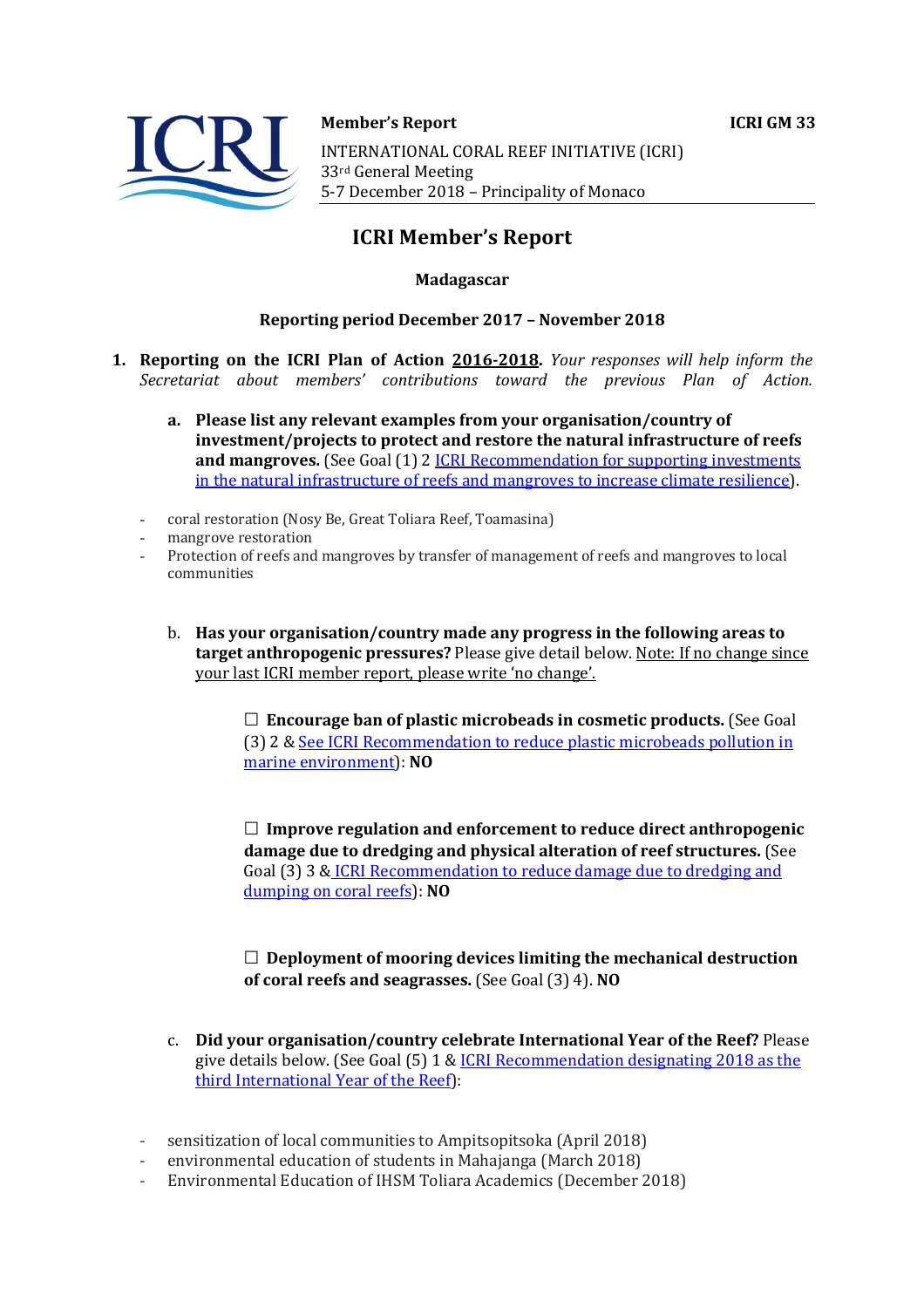



**Member's Report ICRI GM 33** 

INTERNATIONAL CORAL REEF INITIATIVE (ICRI) 33rd General Meeting 5-7 December 2018 - Principality of Monaco

# **ICRI Member's Report**

## **Madagascar**

### **Reporting period December 2017 - November 2018**

- **1. Reporting on the ICRI Plan of Action 2016-2018.** *Your responses will help inform the Secretariat about members' contributions toward the previous Plan of Action.*
	- a. Please list any relevant examples from your organisation/country of **investment/projects to protect and restore the natural infrastructure of reefs and mangroves.** (See Goal (1) 2 *ICRI Recommendation for supporting investments* in the natural infrastructure of reefs and mangroves to increase climate resilience).
	- coral restoration (Nosy Be, Great Toliara Reef, Toamasina)
	- mangrove restoration
	- Protection of reefs and mangroves by transfer of management of reefs and mangroves to local communities
		- b. Has your organisation/country made any progress in the following areas to **target anthropogenic pressures?** Please give detail below. Note: If no change since your last ICRI member report, please write 'no change'.

□ **Encourage ban of plastic microbeads in cosmetic products.** (See Goal (3) 2 & See ICRI Recommendation to reduce plastic microbeads pollution in marine environment): **NO**

□ Improve regulation and enforcement to reduce direct anthropogenic **damage due to dredging and physical alteration of reef structures.** (See Goal (3) 3 & ICRI Recommendation to reduce damage due to dredging and dumping on coral reefs): NO

 $\Box$  Deployment of mooring devices limiting the mechanical destruction **of coral reefs and seagrasses.** (See Goal (3) 4). **NO** 

- c. **Did your organisation/country celebrate International Year of the Reef?** Please give details below. (See Goal  $(5)$  1 & ICRI Recommendation designating 2018 as the third International Year of the Reef):
- sensitization of local communities to Ampitsopitsoka (April 2018)
- environmental education of students in Mahajanga (March 2018)
- Environmental Education of IHSM Toliara Academics (December 2018)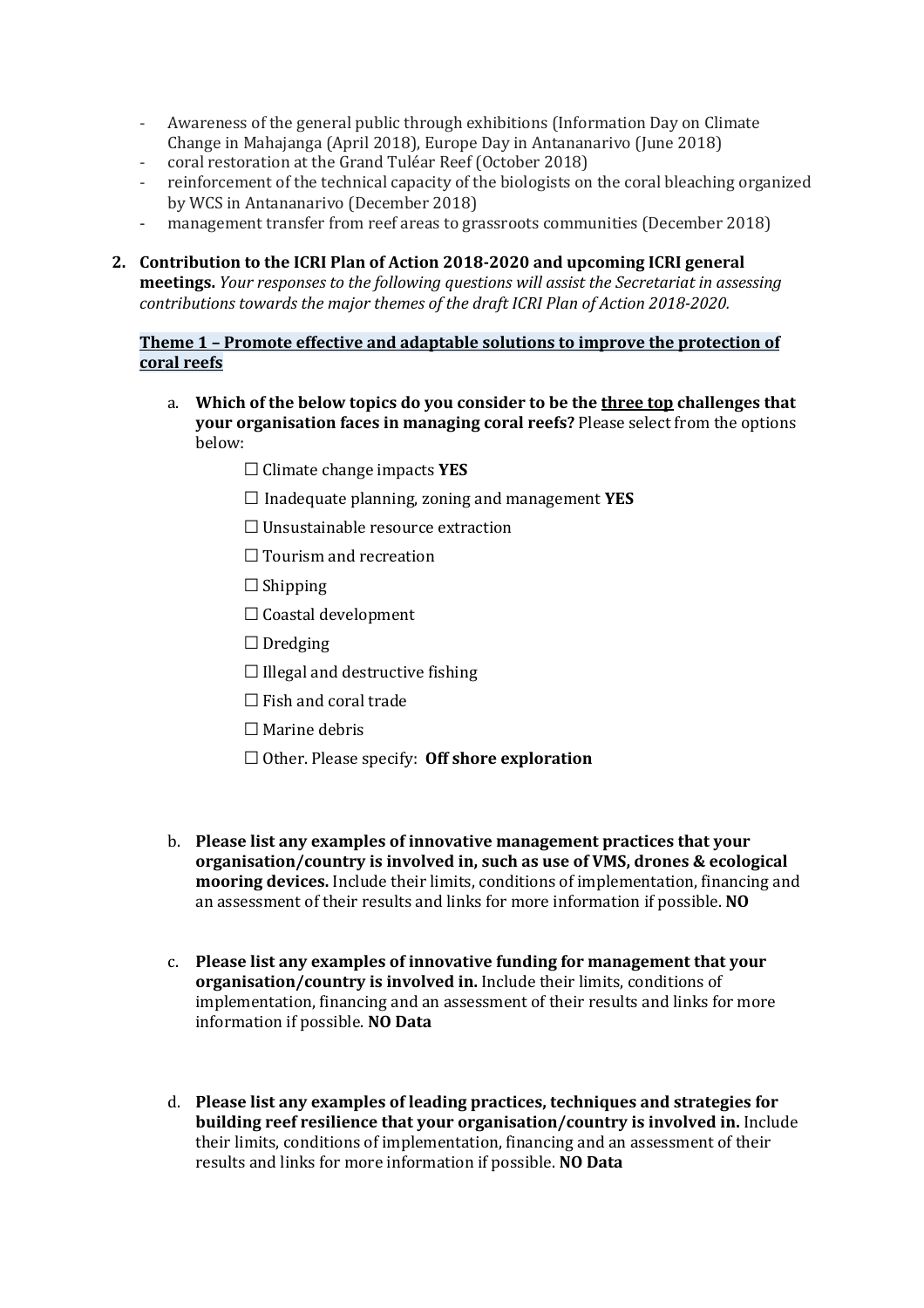- Awareness of the general public through exhibitions (Information Day on Climate Change in Mahajanga (April 2018), Europe Day in Antananarivo (June 2018)
- coral restoration at the Grand Tuléar Reef (October 2018)
- reinforcement of the technical capacity of the biologists on the coral bleaching organized by WCS in Antananarivo (December 2018)
- management transfer from reef areas to grassroots communities (December 2018)
- 2. **Contribution to the ICRI Plan of Action 2018-2020 and upcoming ICRI general meetings.** *Your responses to the following questions will assist the Secretariat in assessing contributions towards the major themes of the draft ICRI Plan of Action 2018-2020.*

## **Theme 1 - Promote effective and adaptable solutions to improve the protection of coral reefs**

- a. Which of the below topics do you consider to be the three top challenges that **your organisation faces in managing coral reefs?** Please select from the options below:
	- **☐**Climate change impacts **YES**
	- $\Box$  Inadequate planning, zoning and management **YES**
	- **□** Unsustainable resource extraction
	- **□** Tourism and recreation
	- **☐**Shipping
	- **☐**Coastal development
	- **☐** Dredging
	- **☐**Illegal and destructive fishing
	- **□** Fish and coral trade
	- □ Marine debris
	- □ Other. Please specify: **Off shore exploration**
- b. **Please list any examples of innovative management practices that your organisation/country is involved in, such as use of VMS, drones & ecological mooring devices.** Include their limits, conditions of implementation, financing and an assessment of their results and links for more information if possible. **NO**
- c. Please list any examples of innovative funding for management that your **organisation/country is involved in.** Include their limits, conditions of implementation, financing and an assessment of their results and links for more information if possible. **NO Data**
- d. Please list any examples of leading practices, techniques and strategies for **building reef resilience that your organisation/country is involved in.** Include their limits, conditions of implementation, financing and an assessment of their results and links for more information if possible. NO Data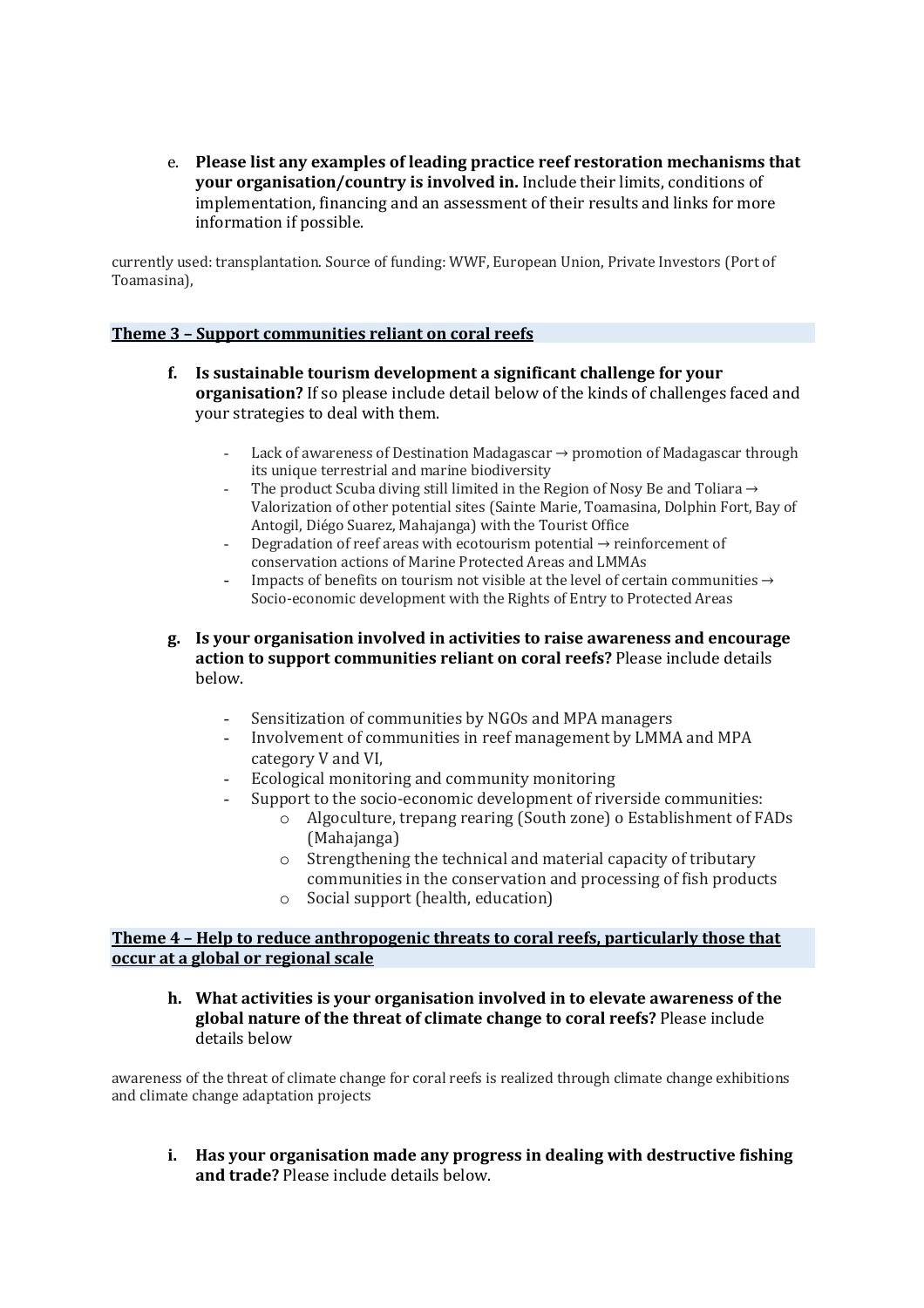e. Please list any examples of leading practice reef restoration mechanisms that **your organisation/country is involved in.** Include their limits, conditions of implementation, financing and an assessment of their results and links for more information if possible.

currently used: transplantation. Source of funding: WWF, European Union, Private Investors (Port of Toamasina),

#### **Theme 3 - Support communities reliant on coral reefs**

- **f.** Is sustainable tourism development a significant challenge for your **organisation?** If so please include detail below of the kinds of challenges faced and your strategies to deal with them.
	- Lack of awareness of Destination Madagascar  $\rightarrow$  promotion of Madagascar through its unique terrestrial and marine biodiversity
	- The product Scuba diving still limited in the Region of Nosy Be and Toliara  $\rightarrow$ Valorization of other potential sites (Sainte Marie, Toamasina, Dolphin Fort, Bay of Antogil, Diégo Suarez, Mahajanga) with the Tourist Office
	- Degradation of reef areas with ecotourism potential  $\rightarrow$  reinforcement of conservation actions of Marine Protected Areas and LMMAs
	- Impacts of benefits on tourism not visible at the level of certain communities  $\rightarrow$ Socio-economic development with the Rights of Entry to Protected Areas
- **g.** Is your organisation involved in activities to raise awareness and encourage **action to support communities reliant on coral reefs?** Please include details below.
	- Sensitization of communities by NGOs and MPA managers
	- Involvement of communities in reef management by LMMA and MPA category V and VI,
	- Ecological monitoring and community monitoring
	- Support to the socio-economic development of riverside communities:
		- o Algoculture, trepang rearing (South zone) o Establishment of FADs (Mahajanga)
		- $\circ$  Strengthening the technical and material capacity of tributary communities in the conservation and processing of fish products
		- $\circ$  Social support (health, education)

#### **Theme 4 - Help to reduce anthropogenic threats to coral reefs, particularly those that occur at a global or regional scale**

**h.** What activities is your organisation involved in to elevate awareness of the global nature of the threat of climate change to coral reefs? Please include details below

awareness of the threat of climate change for coral reefs is realized through climate change exhibitions and climate change adaptation projects

**i.** Has your organisation made any progress in dealing with destructive fishing **and trade?** Please include details below.